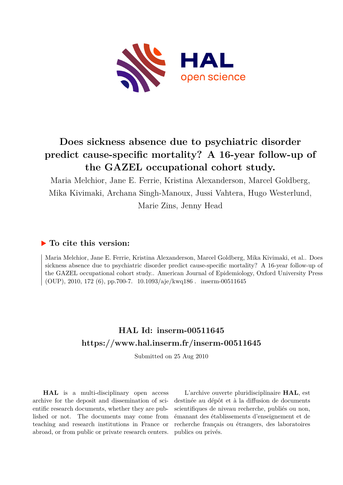

# **Does sickness absence due to psychiatric disorder predict cause-specific mortality? A 16-year follow-up of the GAZEL occupational cohort study.**

Maria Melchior, Jane E. Ferrie, Kristina Alexanderson, Marcel Goldberg, Mika Kivimaki, Archana Singh-Manoux, Jussi Vahtera, Hugo Westerlund, Marie Zins, Jenny Head

# **To cite this version:**

Maria Melchior, Jane E. Ferrie, Kristina Alexanderson, Marcel Goldberg, Mika Kivimaki, et al.. Does sickness absence due to psychiatric disorder predict cause-specific mortality? A 16-year follow-up of the GAZEL occupational cohort study.. American Journal of Epidemiology, Oxford University Press (OUP), 2010, 172 (6), pp.700-7.  $10.1093/aje/kwq186$ . inserm-00511645

# **HAL Id: inserm-00511645 <https://www.hal.inserm.fr/inserm-00511645>**

Submitted on 25 Aug 2010

**HAL** is a multi-disciplinary open access archive for the deposit and dissemination of scientific research documents, whether they are published or not. The documents may come from teaching and research institutions in France or abroad, or from public or private research centers.

L'archive ouverte pluridisciplinaire **HAL**, est destinée au dépôt et à la diffusion de documents scientifiques de niveau recherche, publiés ou non, émanant des établissements d'enseignement et de recherche français ou étrangers, des laboratoires publics ou privés.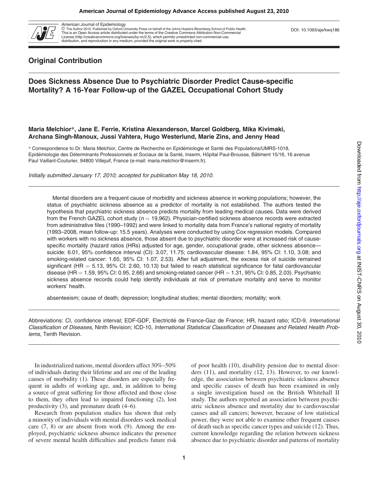

American Journal of Epidemiology *ª* The Author 2010. Published by Oxford University Press on behalf of the Johns Hopkins Bloomberg School of Public Health.

This is an Open Access article distributed under the terms of the Creative Commons Attribution Non-Commercial License (http://creativecommons.org/licenses/by-nc/2.5), which permits unrestricted non-commercial use, distribution, and reproduction in any medium, provided the original work is properly cited.

## Original Contribution

## Does Sickness Absence Due to Psychiatric Disorder Predict Cause-specific Mortality? A 16-Year Follow-up of the GAZEL Occupational Cohort Study

### Maria Melchior*\**, Jane E. Ferrie, Kristina Alexanderson, Marcel Goldberg, Mika Kivimaki, Archana Singh-Manoux, Jussi Vahtera, Hugo Westerlund, Marie Zins, and Jenny Head

\* Correspondence to Dr. Maria Melchior, Centre de Recherche en Epidémiologie et Santé des Populations/UMRS-1018, Epidémiologie des Déterminants Professionnels et Sociaux de la Santé, Inserm, Hôpital Paul-Brousse, Bâtiment 15/16, 16 avenue Paul Vaillant-Couturier, 94800 Villejuif, France (e-mail: maria.melchior@inserm.fr).

Initially submitted January 17, 2010; accepted for publication May 18, 2010.

Mental disorders are a frequent cause of morbidity and sickness absence in working populations; however, the status of psychiatric sickness absence as a predictor of mortality is not established. The authors tested the hypothesis that psychiatric sickness absence predicts mortality from leading medical causes. Data were derived from the French GAZEL cohort study ( $n = 19,962$ ). Physician-certified sickness absence records were extracted from administrative files (1990–1992) and were linked to mortality data from France's national registry of mortality (1993–2008, mean follow-up: 15.5 years). Analyses were conducted by using Cox regression models. Compared with workers with no sickness absence, those absent due to psychiatric disorder were at increased risk of causespecific mortality (hazard ratios (HRs) adjusted for age, gender, occupational grade, other sickness absence suicide: 6.01, 95% confidence interval (CI): 3.07, 11.75; cardiovascular disease: 1.84, 95% CI: 1.10, 3.08; and smoking-related cancer: 1.65, 95% CI: 1.07, 2.53). After full adjustment, the excess risk of suicide remained significant (HR  $=$  5.13, 95% CI: 2.60, 10.13) but failed to reach statistical significance for fatal cardiovascular disease (HR  $=$  1.59, 95% CI: 0.95, 2.66) and smoking-related cancer (HR  $=$  1.31, 95% CI: 0.85, 2.03). Psychiatric sickness absence records could help identify individuals at risk of premature mortality and serve to monitor workers' health.

absenteeism; cause of death; depression; longitudinal studies; mental disorders; mortality; work

Abbreviations: CI, confidence interval; EDF-GDF, Electricité de France-Gaz de France; HR, hazard ratio; ICD-9, International Classification of Diseases, Ninth Revision; ICD-10, International Statistical Classification of Diseases and Related Health Problems, Tenth Revision.

In industrialized nations, mental disorders affect 30%–50% of individuals during their lifetime and are one of the leading causes of morbidity (1). These disorders are especially frequent in adults of working age, and, in addition to being a source of great suffering for those affected and those close to them, they often lead to impaired functioning (2), lost productivity (3), and premature death (4–6).

Research from population studies has shown that only a minority of individuals with mental disorders seek medical care (7, 8) or are absent from work (9). Among the employed, psychiatric sickness absence indicates the presence of severe mental health difficulties and predicts future risk of poor health (10), disability pension due to mental disorders (11), and mortality (12, 13). However, to our knowledge, the association between psychiatric sickness absence and specific causes of death has been examined in only a single investigation based on the British Whitehall II study. The authors reported an association between psychiatric sickness absence and mortality due to cardiovascular causes and all cancers; however, because of low statistical power, they were not able to examine other frequent causes of death such as specific cancer types and suicide (12). Thus, current knowledge regarding the relation between sickness absence due to psychiatric disorder and patterns of mortality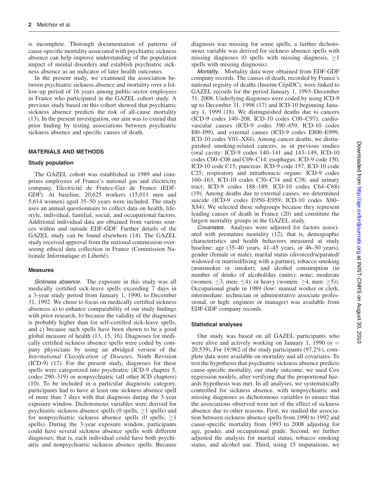is incomplete. Thorough documentation of patterns of cause-specific mortality associated with psychiatric sickness absence can help improve understanding of the population impact of mental disorders and establish psychiatric sickness absence as an indicator of later health outcomes.

In the present study, we examined the association between psychiatric sickness absence and mortality over a follow-up period of 16 years among public-sector employees in France who participated in the GAZEL cohort study. A previous study based on this cohort showed that psychiatric sickness absence predicts the risk of all-cause mortality (13). In the present investigation, our aim was to extend that prior finding by testing associations between psychiatric sickness absence and specific causes of death.

#### MATERIALS AND METHODS

#### Study population

The GAZEL cohort was established in 1989 and comprises employees of France's national gas and electricity company, Electricité de France-Gaz de France (EDF-GDF). At baseline, 20,625 workers (15,011 men and 5,614 women) aged 35–50 years were included. The study uses an annual questionnaire to collect data on health, lifestyle, individual, familial, social, and occupational factors. Additional individual data are obtained from various sources within and outside EDF-GDF. Further details of the GAZEL study can be found elsewhere (14). The GAZEL study received approval from the national commission overseeing ethical data collection in France (Commission Nationale Informatique et Liberté).

#### Measures

Sickness absence. The exposure in this study was all medically certified sick-leave spells exceeding 7 days in a 3-year study period from January 1, 1990, to December 31, 1992. We chose to focus on medically certified sickness absences a) to enhance comparability of our study findings with prior research, b) because the validity of the diagnoses is probably higher than for self-certified sick-leave spells, and c) because such spells have been shown to be a good global measure of health (13, 15, 16). Diagnoses for medically certified sickness absence spells were coded by company physicians by using an abridged version of the International Classification of Diseases, Ninth Revision (ICD-9) (17). For the present study, diagnoses for these spells were categorized into psychiatric (ICD-9 chapter 5, codes 290–319) or nonpsychiatric (all other ICD chapters) (10). To be included in a particular diagnostic category, participants had to have at least one sickness absence spell of more than 7 days with that diagnosis during the 3-year exposure window. Dichotomous variables were derived for psychiatric sickness absence spells (0 spells,  $\geq$ 1 spells) and for nonpsychiatric sickness absence spells (0 spells,  $\geq$ 1 spells). During the 3-year exposure window, participants could have several sickness absence spells with different diagnoses; that is, each individual could have both psychiatric and nonpsychiatric sickness absence spells. Because

diagnosis was missing for some spells, a further dichotomous variable was derived for sickness absence spells with missing diagnoses (0 spells with missing diagnosis,  $\geq$ 1 spells with missing diagnosis).

Mortality. Mortality data were obtained from EDF-GDF company records. The causes of death, recorded by France's national registry of deaths (Inserm CépiDC), were linked to GAZEL records for the period January 1, 1993–December 31, 2008. Underlying diagnoses were coded by using ICD-9 up to December 31, 1998 (17) and ICD-10 beginning January 1, 1999 (18). We distinguished deaths due to cancers (ICD-9 codes 140–208, ICD-10 codes C00–C97), cardiovascular causes (ICD-9 codes 390–459, ICD-10 codes I00–I99), and external causes (ICD-9 codes E800–E999, ICD-10 codes V01–X84). Among cancer deaths, we distinguished smoking-related cancers, as in previous studies (oral cavity: ICD-9 codes 140–141 and 143–149, ICD-10 codes C00–C06 and C09–C14; esophagus: ICD-9 code 150, ICD-10 code C15; pancreas: ICD-9 code 157, ICD-10 code C25; respiratory and intrathoracic organs: ICD-9 codes 160–163, ICD-10 codes C30–C34 and C38; and urinary tract: ICD-9 codes 188–189, ICD-10 codes C64–C68) (19). Among deaths due to external causes, we determined suicide (ICD-9 codes E950–E959, ICD-10 codes X60– X84). We selected these subgroups because they represent leading causes of death in France (20) and constitute the largest mortality groups in the GAZEL study.

Covariates. Analyses were adjusted for factors associated with premature mortality (12), that is, demographic characteristics and health behaviors measured at study baseline: age (35–40 years, 41–45 years, or 46–50 years), gender (female or male), marital status (divorced/separated/ widowed or married/living with a partner), tobacco smoking (nonsmoker or smoker), and alcohol consumption (in number of drinks of alcohol/day (units): none; moderate (women:  $\leq 3$ , men:  $\leq 4$ ); or heavy (women:  $\geq 4$ , men:  $\geq 5$ )). Occupational grade in 1989 (low: manual worker or clerk, intermediate: technician or administrative associate professional, or high: engineer or manager) was available from EDF-GDF company records.

## Statistical analyses

Our study was based on all GAZEL participants who were alive and actively working on January 1, 1990 ( $n =$ 20,539). For 19,962 of the study participants (97.2%), complete data were available on mortality and all covariates. To test the hypothesis that psychiatric sickness absence predicts cause-specific mortality, our study outcome, we used Cox regression models, after verifying that the proportional hazards hypothesis was met. In all analyses, we systematically controlled for sickness absence, with nonpsychiatric and missing diagnoses as dichotomous variables to ensure that the associations observed were net of the effect of sickness absence due to other reasons. First, we studied the association between sickness absence spells from 1990 to 1992 and cause-specific mortality from 1993 to 2008 adjusting for age, gender, and occupational grade. Second, we further adjusted the analysis for marital status, tobacco smoking status, and alcohol use. Third, using 15 imputations, we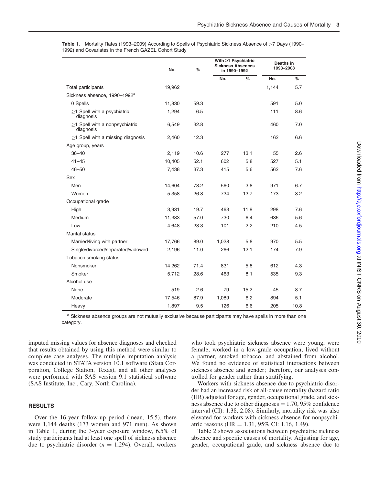|                                               | No.    | %    | With ≥1 Psychiatric<br><b>Sickness Absences</b><br>in 1990-1992 |      | Deaths in<br>1993-2008 |      |  |
|-----------------------------------------------|--------|------|-----------------------------------------------------------------|------|------------------------|------|--|
|                                               |        |      | No.                                                             | %    | No.                    | %    |  |
| Total participants                            | 19,962 |      |                                                                 |      | 1.144                  | 5.7  |  |
| Sickness absence, 1990-1992 <sup>a</sup>      |        |      |                                                                 |      |                        |      |  |
| 0 Spells                                      | 11,830 | 59.3 |                                                                 |      | 591                    | 5.0  |  |
| $>1$ Spell with a psychiatric<br>diagnosis    | 1,294  | 6.5  |                                                                 |      | 111                    | 8.6  |  |
| $>1$ Spell with a nonpsychiatric<br>diagnosis | 6,549  | 32.8 |                                                                 |      | 460                    | 7.0  |  |
| $>1$ Spell with a missing diagnosis           | 2,460  | 12.3 |                                                                 |      | 162                    | 6.6  |  |
| Age group, years                              |        |      |                                                                 |      |                        |      |  |
| $36 - 40$                                     | 2,119  | 10.6 | 277                                                             | 13.1 | 55                     | 2.6  |  |
| $41 - 45$                                     | 10,405 | 52.1 | 602                                                             | 5.8  | 527                    | 5.1  |  |
| $46 - 50$                                     | 7,438  | 37.3 | 415                                                             | 5.6  | 562                    | 7.6  |  |
| Sex                                           |        |      |                                                                 |      |                        |      |  |
| Men                                           | 14,604 | 73.2 | 560                                                             | 3.8  | 971                    | 6.7  |  |
| Women                                         | 5,358  | 26.8 | 734                                                             | 13.7 | 173                    | 3.2  |  |
| Occupational grade                            |        |      |                                                                 |      |                        |      |  |
| High                                          | 3,931  | 19.7 | 463                                                             | 11.8 | 298                    | 7.6  |  |
| Medium                                        | 11,383 | 57.0 | 730                                                             | 6.4  | 636                    | 5.6  |  |
| Low                                           | 4,648  | 23.3 | 101                                                             | 2.2  | 210                    | 4.5  |  |
| <b>Marital status</b>                         |        |      |                                                                 |      |                        |      |  |
| Married/living with partner                   | 17,766 | 89.0 | 1,028                                                           | 5.8  | 970                    | 5.5  |  |
| Single/divorced/separated/widowed             | 2,196  | 11.0 | 266                                                             | 12.1 | 174                    | 7.9  |  |
| Tobacco smoking status                        |        |      |                                                                 |      |                        |      |  |
| Nonsmoker                                     | 14,262 | 71.4 | 831                                                             | 5.8  | 612                    | 4.3  |  |
| Smoker                                        | 5,712  | 28.6 | 463                                                             | 8.1  | 535                    | 9.3  |  |
| Alcohol use                                   |        |      |                                                                 |      |                        |      |  |
| None                                          | 519    | 2.6  | 79                                                              | 15.2 | 45                     | 8.7  |  |
| Moderate                                      | 17,546 | 87.9 | 1,089                                                           | 6.2  | 894                    | 5.1  |  |
| Heavy                                         | 1,897  | 9.5  | 126                                                             | 6.6  | 205                    | 10.8 |  |

Table 1. Mortality Rates (1993–2009) According to Spells of Psychiatric Sickness Absence of >7 Days (1990– 1992) and Covariates in the French GAZEL Cohort Study

a Sickness absence groups are not mutually exclusive because participants may have spells in more than one category.

imputed missing values for absence diagnoses and checked that results obtained by using this method were similar to complete case analyses. The multiple imputation analysis was conducted in STATA version 10.1 software (Stata Corporation, College Station, Texas), and all other analyses were performed with SAS version 9.1 statistical software (SAS Institute, Inc., Cary, North Carolina).

#### RESULTS

Over the 16-year follow-up period (mean, 15.5), there were 1,144 deaths (173 women and 971 men). As shown in Table 1, during the 3-year exposure window, 6.5% of study participants had at least one spell of sickness absence due to psychiatric disorder ( $n = 1,294$ ). Overall, workers

who took psychiatric sickness absence were young, were female, worked in a low-grade occupation, lived without a partner, smoked tobacco, and abstained from alcohol. We found no evidence of statistical interactions between sickness absence and gender; therefore, our analyses controlled for gender rather than stratifying.

Workers with sickness absence due to psychiatric disorder had an increased risk of all-cause mortality (hazard ratio (HR) adjusted for age, gender, occupational grade, and sickness absence due to other diagnoses  $= 1.70, 95\%$  confidence interval (CI): 1.38, 2.08). Similarly, mortality risk was also elevated for workers with sickness absence for nonpsychiatric reasons (HR =  $1.31$ , 95% CI: 1.16, 1.49).

Table 2 shows associations between psychiatric sickness absence and specific causes of mortality. Adjusting for age, gender, occupational grade, and sickness absence due to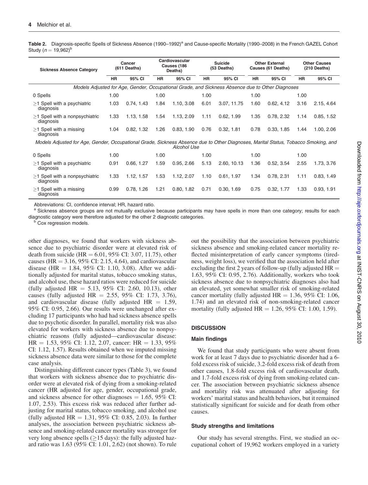Table 2. Diagnosis-specific Spells of Sickness Absence (1990–1992)<sup>a</sup> and Cause-specific Mortality (1990–2008) in the French GAZEL Cohort Study ( $n = 19,962$ <sup>b</sup>

| <b>Sickness Absence Category</b>                                                                                                                         | Cancer<br>(611 Deaths) |            | Cardiovascular<br>Causes (186<br>Deaths) |            | <b>Suicide</b><br>(53 Deaths) |                                                                                                  | <b>Other External</b><br>Causes (61 Deaths) |            | <b>Other Causes</b><br>$(210$ Deaths) |            |
|----------------------------------------------------------------------------------------------------------------------------------------------------------|------------------------|------------|------------------------------------------|------------|-------------------------------|--------------------------------------------------------------------------------------------------|---------------------------------------------|------------|---------------------------------------|------------|
|                                                                                                                                                          | <b>HR</b>              | 95% CI     | <b>HR</b>                                | 95% CI     | <b>HR</b>                     | 95% CI                                                                                           | HR                                          | 95% CI     | <b>HR</b>                             | 95% CI     |
|                                                                                                                                                          |                        |            |                                          |            |                               | Models Adjusted for Age, Gender, Occupational Grade, and Sickness Absence due to Other Diagnoses |                                             |            |                                       |            |
| 0 Spells                                                                                                                                                 | 1.00                   |            | 1.00                                     |            | 1.00                          |                                                                                                  | 1.00                                        |            | 1.00                                  |            |
| $>1$ Spell with a psychiatric<br>diagnosis                                                                                                               | 1.03                   | 0.74, 1.43 | 1.84                                     | 1.10, 3.08 | 6.01                          | 3.07, 11.75                                                                                      | 1.60                                        | 0.62, 4.12 | 3.16                                  | 2.15, 4.64 |
| $>1$ Spell with a nonpsychiatric<br>diagnosis                                                                                                            | 1.33                   | 1.13.1.58  | 1.54                                     | 1.13, 2.09 | 1.11                          | 0.62, 1.99                                                                                       | 1.35                                        | 0.78, 2.32 | 1.14                                  | 0.85, 1.52 |
| $>1$ Spell with a missing<br>diagnosis                                                                                                                   | 1.04                   | 0.82, 1.32 | 1.26                                     | 0.83, 1.90 | 0.76                          | 0.32, 1.81                                                                                       | 0.78                                        | 0.33, 1.85 | 1.44                                  | 1.00, 2.06 |
| Models Adjusted for Age, Gender, Occupational Grade, Sickness Absence due to Other Diagnoses, Marital Status, Tobacco Smoking, and<br><b>Alcohol Use</b> |                        |            |                                          |            |                               |                                                                                                  |                                             |            |                                       |            |
| 0 Spells                                                                                                                                                 | 1.00                   |            | 1.00                                     |            | 1.00                          |                                                                                                  | 1.00                                        |            | 1.00                                  |            |
| $>1$ Spell with a psychiatric<br>diagnosis                                                                                                               | 0.91                   | 0.66, 1.27 | 1.59                                     | 0.95, 2.66 | 5.13                          | 2.60, 10.13                                                                                      | 1.36                                        | 0.52, 3.54 | 2.55                                  | 1.73, 3.76 |
| $>1$ Spell with a nonpsychiatric<br>diagnosis                                                                                                            | 1.33                   | 1.12, 1.57 | 1.53                                     | 1.12, 2.07 | 1.10                          | 0.61, 1.97                                                                                       | 1.34                                        | 0.78, 2.31 | 1.11                                  | 0.83, 1.49 |
| $>1$ Spell with a missing<br>diagnosis                                                                                                                   | 0.99                   | 0.78, 1.26 | 1.21                                     | 0.80, 1.82 | 0.71                          | 0.30, 1.69                                                                                       | 0.75                                        | 0.32, 1.77 | 1.33                                  | 0.93, 1.91 |

Abbreviations: CI, confidence interval; HR, hazard ratio.

a Sickness absence groups are not mutually exclusive because participants may have spells in more than one category; results for each diagnostic category were therefore adjusted for the other 2 diagnostic categories.<br><sup>b</sup> Cox regression models.

other diagnoses, we found that workers with sickness absence due to psychiatric disorder were at elevated risk of death from suicide (HR =  $6.01$ , 95% CI: 3.07, 11.75), other causes (HR  $=$  3.16, 95% CI: 2.15, 4.64), and cardiovascular disease (HR  $= 1.84, 95\%$  CI: 1.10, 3.08). After we additionally adjusted for marital status, tobacco smoking status, and alcohol use, these hazard ratios were reduced for suicide (fully adjusted HR = 5.13, 95% CI: 2.60, 10.13), other causes (fully adjusted HR = 2.55, 95% CI: 1.73, 3.76), and cardiovascular disease (fully adjusted  $HR = 1.59$ , 95% CI: 0.95, 2.66). Our results were unchanged after excluding 17 participants who had had sickness absence spells due to psychotic disorder. In parallel, mortality risk was also elevated for workers with sickness absence due to nonpsychiatric reasons (fully adjusted—cardiovascular disease:  $HR = 1.53, 95\%$  CI: 1.12, 2.07, cancer:  $HR = 1.33, 95\%$ CI: 1.12, 1.57). Results obtained when we imputed missing sickness absence data were similar to those for the complete case analysis.

Distinguishing different cancer types (Table 3), we found that workers with sickness absence due to psychiatric disorder were at elevated risk of dying from a smoking-related cancer (HR adjusted for age, gender, occupational grade, and sickness absence for other diagnoses  $= 1.65$ , 95% CI: 1.07, 2.53). This excess risk was reduced after further adjusting for marital status, tobacco smoking, and alcohol use (fully adjusted  $HR = 1.31, 95\%$  CI: 0.85, 2.03). In further analyses, the association between psychiatric sickness absence and smoking-related cancer mortality was stronger for very long absence spells ( $\geq$ 15 days): the fully adjusted hazard ratio was 1.63 (95% CI: 1.01, 2.62) (not shown). To rule out the possibility that the association between psychiatric sickness absence and smoking-related cancer mortality reflected misinterpretation of early cancer symptoms (tiredness, weight loss), we verified that the association held after excluding the first 2 years of follow-up (fully adjusted  $HR =$ 1.63, 95% CI: 0.95, 2.76). Additionally, workers who took sickness absence due to nonpsychiatric diagnoses also had an elevated, yet somewhat smaller risk of smoking-related cancer mortality (fully adjusted  $HR = 1.36, 95\%$  CI: 1.06, 1.74) and an elevated risk of non-smoking-related cancer mortality (fully adjusted  $HR = 1.26, 95\%$  CI: 1.00, 1.59).

#### **DISCUSSION**

#### Main findings

We found that study participants who were absent from work for at least 7 days due to psychiatric disorder had a 6 fold excess risk of suicide, 3.2-fold excess risk of death from other causes, 1.8-fold excess risk of cardiovascular death, and 1.7-fold excess risk of dying from smoking-related cancer. The association between psychiatric sickness absence and mortality risk was attenuated after adjusting for workers' marital status and health behaviors, but it remained statistically significant for suicide and for death from other causes.

#### Study strengths and limitations

Our study has several strengths. First, we studied an occupational cohort of 19,962 workers employed in a variety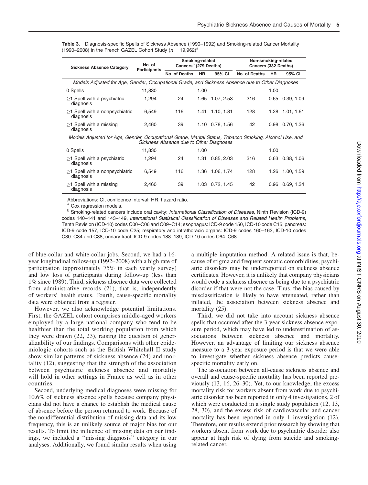Table 3. Diagnosis-specific Spells of Sickness Absence (1990–1992) and Smoking-related Cancer Mortality (1990–2008) in the French GAZEL Cohort Study ( $n = 19,962$ )<sup>a</sup>

| <b>Sickness Absence Category</b>                                                                                                                  | No. of<br><b>Participants</b> | Smoking-related<br>Cancers <sup>b</sup> (279 Deaths) |           |                 | Non-smoking-related<br>Cancers (332 Deaths) |      |                      |  |  |
|---------------------------------------------------------------------------------------------------------------------------------------------------|-------------------------------|------------------------------------------------------|-----------|-----------------|---------------------------------------------|------|----------------------|--|--|
|                                                                                                                                                   |                               | No. of Deaths                                        | <b>HR</b> | 95% CI          | No. of Deaths                               | HR.  | 95% CI               |  |  |
| Models Adjusted for Age, Gender, Occupational Grade, and Sickness Absence due to Other Diagnoses                                                  |                               |                                                      |           |                 |                                             |      |                      |  |  |
| 0 Spells                                                                                                                                          | 11,830                        |                                                      | 1.00      |                 |                                             | 1.00 |                      |  |  |
| $>1$ Spell with a psychiatric<br>diagnosis                                                                                                        | 1,294                         | 24                                                   | 1.65      | 1.07, 2.53      | 316                                         |      | $0.65$ $0.39, 1.09$  |  |  |
| $>1$ Spell with a nonpsychiatric<br>diagnosis                                                                                                     | 6,549                         | 116                                                  |           | 1.41 1.10, 1.81 | 128                                         |      | 1.28 1.01, 1.61      |  |  |
| $>1$ Spell with a missing<br>diagnosis                                                                                                            | 2,460                         | 39                                                   |           | 1.10 0.78, 1.56 | 42                                          |      | 0.98 0.70, 1.36      |  |  |
| Models Adjusted for Age, Gender, Occupational Grade, Marital Status, Tobacco Smoking, Alcohol Use, and<br>Sickness Absence due to Other Diagnoses |                               |                                                      |           |                 |                                             |      |                      |  |  |
| 0 Spells                                                                                                                                          | 11,830                        |                                                      | 1.00      |                 |                                             | 1.00 |                      |  |  |
| $>1$ Spell with a psychiatric<br>diagnosis                                                                                                        | 1,294                         | 24                                                   |           | 1.31 0.85, 2.03 | 316                                         |      | $0.63$ $0.38$ , 1.06 |  |  |
| $>1$ Spell with a nonpsychiatric<br>diagnosis                                                                                                     | 6,549                         | 116                                                  | 1.36      | 1.06, 1.74      | 128                                         | 1.26 | 1.00, 1.59           |  |  |
| $>1$ Spell with a missing<br>diagnosis                                                                                                            | 2,460                         | 39                                                   |           | 1.03 0.72, 1.45 | 42                                          |      | $0.96$ $0.69$ , 1.34 |  |  |

Abbreviations: CI, confidence interval; HR, hazard ratio.

a Cox regression models.

<sup>b</sup> Smoking-related cancers include oral cavity: International Classification of Diseases, Ninth Revision (ICD-9) codes 140–141 and 143–149, International Statistical Classification of Diseases and Related Health Problems, Tenth Revision (ICD-10) codes C00–C06 and C09–C14; esophagus: ICD-9 code 150, ICD-10 code C15; pancreas: ICD-9 code 157, ICD-10 code C25; respiratory and intrathoracic organs: ICD-9 codes 160–163, ICD-10 codes C30–C34 and C38; urinary tract: ICD-9 codes 188–189, ICD-10 codes C64–C68.

of blue-collar and white-collar jobs. Second, we had a 16 year longitudinal follow-up (1992–2008) with a high rate of participation (approximately 75% in each yearly survey) and low loss of participants during follow-up (less than 1% since 1989). Third, sickness absence data were collected from administrative records (21), that is, independently of workers' health status. Fourth, cause-specific mortality data were obtained from a register.

However, we also acknowledge potential limitations. First, the GAZEL cohort comprises middle-aged workers employed by a large national company who tend to be healthier than the total working population from which they were drawn (22, 23), raising the question of generalizability of our findings. Comparisons with other epidemiologic cohorts such as the British Whitehall II study show similar patterns of sickness absence (24) and mortality (12), suggesting that the strength of the association between psychiatric sickness absence and mortality will hold in other settings in France as well as in other countries.

Second, underlying medical diagnoses were missing for 10.6% of sickness absence spells because company physicians did not have a chance to establish the medical cause of absence before the person returned to work. Because of the nondifferential distribution of missing data and its low frequency, this is an unlikely source of major bias for our results. To limit the influence of missing data on our findings, we included a ''missing diagnosis'' category in our analyses. Additionally, we found similar results when using

a multiple imputation method. A related issue is that, because of stigma and frequent somatic comorbidities, psychiatric disorders may be underreported on sickness absence certificates. However, it is unlikely that company physicians would code a sickness absence as being due to a psychiatric disorder if that were not the case. Thus, the bias caused by misclassification is likely to have attenuated, rather than inflated, the association between sickness absence and mortality  $(25)$ .

Third, we did not take into account sickness absence spells that occurred after the 3-year sickness absence exposure period, which may have led to underestimation of associations between sickness absence and mortality. However, an advantage of limiting our sickness absence measure to a 3-year exposure period is that we were able to investigate whether sickness absence predicts causespecific mortality early on.

The association between all-cause sickness absence and overall and cause-specific mortality has been reported previously (13, 16, 26–30). Yet, to our knowledge, the excess mortality risk for workers absent from work due to psychiatric disorder has been reported in only 4 investigations, 2 of which were conducted in a single study population  $(12, 13, 15)$ 28, 30), and the excess risk of cardiovascular and cancer mortality has been reported in only 1 investigation (12). Therefore, our results extend prior research by showing that workers absent from work due to psychiatric disorder also appear at high risk of dying from suicide and smokingrelated cancer.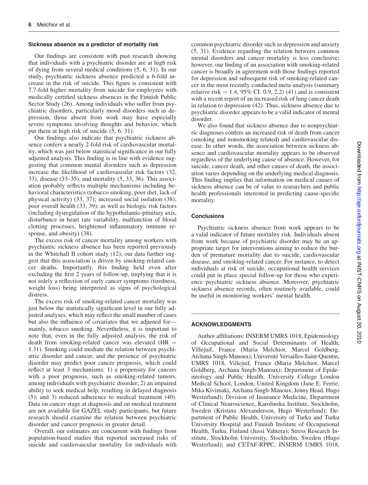#### Sickness absence as a predictor of mortality risk

Our findings are consistent with past research showing that individuals with a psychiatric disorder are at high risk of dying from several medical conditions (5, 6, 31). In our study, psychiatric sickness absence predicted a 6-fold increase in the risk of suicide. This figure is consistent with 7.7-fold higher mortality from suicide for employees with medically certified sickness absences in the Finnish Public Sector Study (26). Among individuals who suffer from psychiatric disorders, particularly mood disorders such as depression, those absent from work may have especially severe symptoms involving thoughts and behavior, which put them at high risk of suicide (5, 6, 31).

Our findings also indicate that psychiatric sickness absence confers a nearly 2-fold risk of cardiovascular mortality, which was just below statistical significance in our fully adjusted analysis. This finding is in line with evidence suggesting that common mental disorders such as depression increase the likelihood of cardiovascular risk factors (32, 33), disease (33–35), and mortality (5, 33, 36). This association probably reflects multiple mechanisms including behavioral characteristics (tobacco smoking, poor diet, lack of physical activity) (33, 37); increased social isolation (38); poor overall health (33, 39); as well as biologic risk factors (including dysregulation of the hypothalamic-pituitary axis, disturbance in heart rate variability, malfunction of blood clotting processes, heightened inflammatory immune response, and obesity) (38).

The excess risk of cancer mortality among workers with psychiatric sickness absence has been reported previously in the Whitehall II cohort study (12); our data further suggest that this association is driven by smoking-related cancer deaths. Importantly, this finding held even after excluding the first 2 years of follow-up, implying that it is not solely a reflection of early cancer symptoms (tiredness, weight loss) being interpreted as signs of psychological distress.

The excess risk of smoking-related cancer mortality was just below the statistically significant level in our fully adjusted analyses, which may reflect the small number of cases but also the influence of covariates that we adjusted for mainly, tobacco smoking. Nevertheless, it is important to note that, even in the fully adjusted analysis, the risk of death from smoking-related cancer was elevated  $(HR =$ 1.31). Smoking could mediate the relation between psychiatric disorder and cancer, and the presence of psychiatric disorder may predict poor cancer prognosis, which could reflect at least 3 mechanisms: 1) a propensity for cancers with a poor prognosis, such as smoking-related tumors, among individuals with psychiatric disorder; 2) an impaired ability to seek medical help, resulting in delayed diagnosis (5); and 3) reduced adherence to medical treatment (40). Data on cancer stage at diagnosis and on medical treatment are not available for GAZEL study participants, but future research should examine the relation between psychiatric disorder and cancer prognosis in greater detail.

Overall, our estimates are concurrent with findings from population-based studies that reported increased risks of suicide and cardiovascular mortality for individuals with

common psychiatric disorder such as depression and anxiety (5, 31). Evidence regarding the relation between common mental disorders and cancer mortality is less conclusive; however, our finding of an association with smoking-related cancer is broadly in agreement with those findings reported for depression and subsequent risk of smoking-related cancer in the most recently conducted meta-analysis (summary relative risk  $= 1.4, 95\%$  CI: 0.9, 2.2) (41) and is consistent with a recent report of an increased risk of lung cancer death in relation to depression (42). Thus, sickness absence due to psychiatric disorder appears to be a valid indicator of mental disorder.

We also found that sickness absence due to nonpsychiatric diagnoses confers an increased risk of death from cancer (smoking and nonsmoking related) and cardiovascular disease. In other words, the association between sickness absence and cardiovascular mortality appears to be observed regardless of the underlying cause of absence. However, for suicide, cancer death, and other causes of death, the association varies depending on the underlying medical diagnosis. This finding implies that information on medical causes of sickness absence can be of value to researchers and public health professionals interested in predicting cause-specific mortality.

## **Conclusions**

Psychiatric sickness absence from work appears to be a valid indicator of future mortality risk. Individuals absent from work because of psychiatric disorder may be an appropriate target for interventions aiming to reduce the burden of premature mortality due to suicide, cardiovascular disease, and smoking-related cancer. For instance, to detect individuals at risk of suicide, occupational health services could put in place special follow-up for those who experience psychiatric sickness absence. Moreover, psychiatric sickness absence records, often routinely available, could be useful in monitoring workers' mental health.

#### ACKNOWLEDGMENTS

Author affiliations: INSERM UMRS 1018, Epidemiology of Occupational and Social Determinants of Health, Villejuif, France (Maria Melchior, Marcel Goldberg, Archana Singh-Manoux); Université Versailles-Saint-Quentin, UMRS 1018, Villejuif, France (Maria Melchior, Marcel Goldberg, Archana Singh-Manoux); Department of Epidemiology and Public Health, University College London Medical School, London, United Kingdom (Jane E. Ferrie, Mika Kivimaki, Archana Singh-Manoux, Jenny Head, Hugo Westerlund); Division of Insurance Medicine, Department of Clinical Neuroscience, Karolinska Institute, Stockholm, Sweden (Kristina Alexanderson, Hugo Westerlund); Department of Public Health, University of Turku and Turku University Hospital and Finnish Institute of Occupational Health, Turku, Finland (Jussi Vahtera); Stress Research Institute, Stockholm University, Stockholm, Sweden (Hugo Westerlund); and CETAF-RPPC, INSERM UMRS 1018,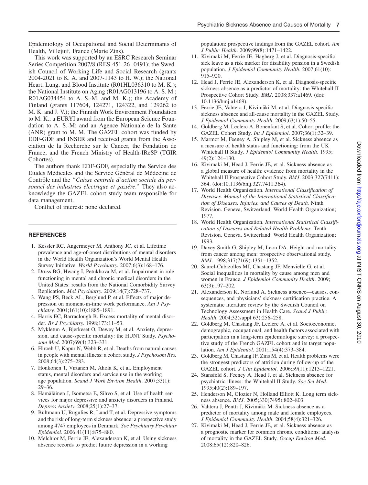Epidemiology of Occupational and Social Determinants of Health, Villejuif, France (Marie Zins).

This work was supported by an ESRC Research Seminar Series Competition 2007/8 (RES-451-26- 0491); the Swedish Council of Working Life and Social Research (grants 2004-2021 to K. A. and 2007-1143 to H. W.); the National Heart, Lung, and Blood Institute (R01HL036310 to M. K.); the National Institute on Aging (R01AG013196 to A. S. M.; R01AG034454 to A. S.-M. and M. K.); the Academy of Finland (grants 117604, 124271, 124322, and 129262 to M. K. and J. V.); the Finnish Work Environment Foundation to M. K.; a EURYI award from the European Science Foundation to A. S.-M; and an Agence Nationale de la Sante (ANR) grant to M. M. The GAZEL cohort was funded by EDF-GDF and INSER and received grants from the Association de la Recherche sur le Cancer, the Fondation de France, and the French Ministry of Health-IReSP (TGIR Cohortes).

The authors thank EDF-GDF, especially the Service des Etudes Médicales and the Service Général de Médecine de Contrôle and the "Caisse centrale d'action sociale du personnel des industries electrique et gazière." They also acknowledge the GAZEL cohort study team responsible for data management.

Conflict of interest: none declared.

#### **REFERENCES**

- 1. Kessler RC, Angermeyer M, Anthony JC, et al. Lifetime prevalence and age-of-onset distributions of mental disorders in the World Health Organization's World Mental Health Survey Initiative. World Psychiatry. 2007;6(3):168–176.
- 2. Druss BG, Hwang I, Petukhova M, et al. Impairment in role functioning in mental and chronic medical disorders in the United States: results from the National Comorbidity Survey Replication. Mol Psychiatry. 2009;14(7):728–737.
- 3. Wang PS, Beck AL, Berglund P, et al. Effects of major depression on moment-in-time work performance. Am J Psychiatry. 2004;161(10):1885–1891.
- 4. Harris EC, Barraclough B. Excess mortality of mental disorder. Br J Psychiatry. 1998;173:11–53.
- 5. Mykletun A, Bjerkeset O, Dewey M, et al. Anxiety, depression, and cause-specific mortality: the HUNT Study. Psychosom Med. 2007;69(4):323–331.
- 6. Hiroeh U, Kapur N, Webb R, et al. Deaths from natural causes in people with mental illness: a cohort study. *J Psychosom Res.* 2008;64(3):275–283.
- 7. Honkonen T, Virtanen M, Ahola K, et al. Employment status, mental disorders and service use in the working age population. Scand J Work Environ Health. 2007;33(1): 29–36.
- 8. Hämäläinen J, Isometsä E, Sihvo S, et al. Use of health services for major depressive and anxiety disorders in Finland. Depress Anxiety. 2008;25(1):27–37.
- 9. Bültmann U, Rugulies R, Lund T, et al. Depressive symptoms and the risk of long-term sickness absence: a prospective study among 4747 employees in Denmark. Soc Psychiatry Psychiatr Epidemiol. 2006;41(11):875–880.
- 10. Melchior M, Ferrie JE, Alexanderson K, et al. Using sickness absence records to predict future depression in a working

population: prospective findings from the GAZEL cohort. Am J Public Health. 2009;99(8):1471–1422.

- 11. Kivimäki M, Ferrie JE, Hagberg J, et al. Diagnosis-specific sick leave as a risk marker for disability pension in a Swedish population. J Epidemiol Community Health. 2007;61(10): 915–920.
- 12. Head J, Ferrie JE, Alexanderson K, et al. Diagnosis-specific sickness absence as a predictor of mortality: the Whitehall II Prospective Cohort Study. BMJ. 2008;337:a1469. (doi: 10.1136/bmj.a1469).
- 13. Ferrie JE, Vahtera J, Kivimäki M, et al. Diagnosis-specific sickness absence and all-cause mortality in the GAZEL Study. J Epidemiol Community Health. 2009;63(1):50–55.
- 14. Goldberg M, Leclerc A, Bonenfant S, et al. Cohort profile: the GAZEL Cohort Study. Int J Epidemiol. 2007;36(1):32–39.
- 15. Marmot M, Feeney A, Shipley M, et al. Sickness absence as a measure of health status and functioning: from the UK Whitehall II Study. J Epidemiol Community Health. 1995; 49(2):124–130.
- 16. Kivimäki M, Head J, Ferrie JE, et al. Sickness absence as a global measure of health: evidence from mortality in the Whitehall II Prospective Cohort Study. BMJ. 2003;327(7411): 364. (doi:10.1136/bmj.327.7411.364).
- 17. World Health Organization. International Classification of Diseases. Manual of the International Statistical Classification of Diseases, Injuries, and Causes of Death. Ninth Revision. Geneva, Switzerland: World Health Organization; 1977.
- 18. World Health Organization. International Statistical Classification of Diseases and Related Health Problems. Tenth Revision. Geneva, Switzerland: World Health Organization; 1993.
- 19. Davey Smith G, Shipley M, Leon DA. Height and mortality from cancer among men: prospective observational study. BMJ. 1998;317(7169):1351–1352.
- 20. Saurel-Cubizolles MJ, Chastang JF, Menvielle G, et al. Social inequalities in mortality by cause among men and women in France. J Epidemiol Community Health. 2009; 63(3):197–202.
- 21. Alexanderson K, Norlund A. Sickness absence—causes, consequences, and physicians' sickness certification practice. A systematic literature review by the Swedish Council on Technology Assessment in Health Care. Scand J Public Health. 2004;32(suppl 63):256–258.
- 22. Goldberg M, Chastang JF, Leclerc A, et al. Socioeconomic, demographic, occupational, and health factors associated with participation in a long-term epidemiologic survey: a prospective study of the French GAZEL cohort and its target population. Am J Epidemiol. 2001;154(4):373–384.
- 23. Goldberg M, Chastang JF, Zins M, et al. Health problems were the strongest predictors of attrition during follow-up of the GAZEL cohort. J Clin Epidemiol. 2006;59(11):1213–1221.
- 24. Stansfeld S, Feeney A, Head J, et al. Sickness absence for psychiatric illness: the Whitehall II Study. Soc Sci Med. 1995;40(2):189–197.
- 25. Henderson M, Glozier N, Holland Elliott K. Long term sickness absence. BMJ. 2005;330(7495):802–803.
- 26. Vahtera J, Pentti J, Kivimäki M. Sickness absence as a predictor of mortality among male and female employees. J Epidemiol Community Health. 2004;58(4):321–326.
- 27. Kivimäki M, Head J, Ferrie JE, et al. Sickness absence as a prognostic marker for common chronic conditions: analysis of mortality in the GAZEL Study. Occup Environ Med. 2008;65(12):820–826.